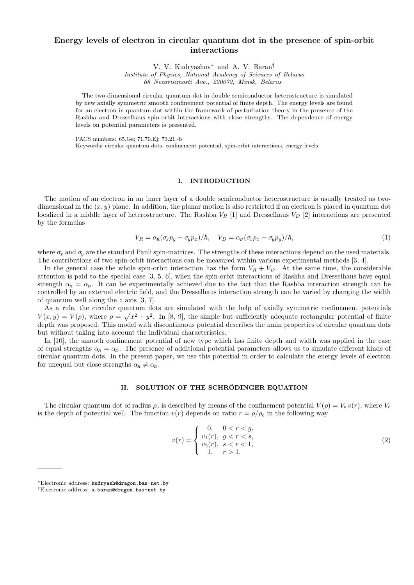# **Energy levels of electron in circular quantum dot in the presence of spin-orbit interactions**

V. V. Kudryashov*∗* and A. V. Baran*†*

*Institute of Physics, National Academy of Sciences of Belarus 68 Nezavisimosti Ave., 220072, Minsk, Belarus*

The two-dimensional circular quantum dot in double semiconductor heterostructure is simulated by new axially symmetric smooth confinement potential of finite depth. The energy levels are found for an electron in quantum dot within the framework of perturbation theory in the presence of the Rashba and Dresselhaus spin-orbit interactions with close strengths. The dependence of energy levels on potential parameters is presented.

PACS numbers: 65.Ge; 71.70.Ej; 73.21.-b

Keywords: circular quantum dots, confinement potential, spin-orbit interactions, energy levels

### **I. INTRODUCTION**

The motion of an electron in an inner layer of a double semiconductor heterostructure is usually treated as twodimensional in the (*x, y*) plane. In addition, the planar motion is also restricted if an electron is placed in quantum dot localized in a middle layer of heterostructure. The Rashba *V<sup>R</sup>* [1] and Dresselhaus *V<sup>D</sup>* [2] interactions are presented by the formulas

$$
V_R = \alpha_R (\sigma_x p_y - \sigma_y p_x) / \hbar, \quad V_D = \alpha_D (\sigma_x p_x - \sigma_y p_y) / \hbar,
$$
\n(1)

where  $\sigma_x$  and  $\sigma_y$  are the standard Pauli spin-matrices. The strengths of these interactions depend on the used materials. The contributions of two spin-orbit interactions can be measured within various experimental methods [3, 4].

In the general case the whole spin-orbit interaction has the form  $V_R + V_D$ . At the same time, the considerable attention is paid to the special case [3, 5, 6], when the spin-orbit interactions of Rashba and Dresselhaus have equal strength  $\alpha_R = \alpha_D$ . It can be experimentally achieved due to the fact that the Rashba interaction strength can be controlled by an external electric field, and the Dresselhaus interaction strength can be varied by changing the width of quantum well along the *z* axis [3, 7].

As a rule, the circular quantum dots are simulated with the help of axially symmetric confinement potentials  $V(x,y) = V(\rho)$ , where  $\rho = \sqrt{x^2 + y^2}$ . In [8, 9], the simple but sufficiently adequate rectangular potential of finite depth was proposed. This model with discontinuous potential describes the main properties of circular quantum dots but without taking into account the individual characteristics.

In [10], the smooth confinement potential of new type which has finite depth and width was applied in the case of equal strengths  $\alpha_R = \alpha_D$ . The presence of additional potential parameters allows us to simulate different kinds of circular quantum dots. In the present paper, we use this potential in order to calculate the energy levels of electron for unequal but close strengths  $\alpha_R \neq \alpha_D$ .

# **II.** SOLUTION OF THE SCHRÖDINGER EQUATION

The circular quantum dot of radius  $\rho_0$  is described by means of the confinement potential  $V(\rho) = V_0 v(r)$ , where  $V_0$ is the depth of potential well. The function  $v(r)$  depends on ratio  $r = \rho/\rho_0$  in the following way

$$
v(r) = \begin{cases} 0, & 0 < r < g, \\ v_1(r), & g < r < s, \\ v_2(r), & s < r < 1, \\ 1, & r > 1. \end{cases} \tag{2}
$$

*<sup>∗</sup>*Electronic address: kudryash@dragon.bas-net.by

*<sup>†</sup>*Electronic address: a.baran@dragon.bas-net.by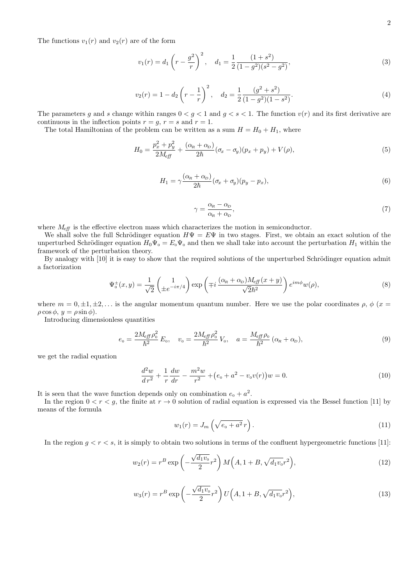The functions  $v_1(r)$  and  $v_2(r)$  are of the form

$$
v_1(r) = d_1 \left(r - \frac{g^2}{r}\right)^2, \quad d_1 = \frac{1}{2} \frac{(1+s^2)}{(1-g^2)(s^2 - g^2)},\tag{3}
$$

$$
v_2(r) = 1 - d_2 \left(r - \frac{1}{r}\right)^2, \quad d_2 = \frac{1}{2} \frac{(g^2 + s^2)}{(1 - g^2)(1 - s^2)}.
$$
\n(4)

The parameters g and s change within ranges  $0 < g < 1$  and  $g < s < 1$ . The function  $v(r)$  and its first derivative are continuous in the inflection points  $r = g$ ,  $r = s$  and  $r = 1$ .

The total Hamiltonian of the problem can be written as a sum  $H = H_0 + H_1$ , where

$$
H_0 = \frac{p_x^2 + p_y^2}{2M_{\text{eff}}} + \frac{(\alpha_R + \alpha_D)}{2\hbar} (\sigma_x - \sigma_y)(p_x + p_y) + V(\rho), \tag{5}
$$

$$
H_1 = \gamma \frac{(\alpha_R + \alpha_D)}{2\hbar} (\sigma_x + \sigma_y)(p_y - p_x), \tag{6}
$$

$$
\gamma = \frac{\alpha_R - \alpha_D}{\alpha_R + \alpha_D},\tag{7}
$$

where  $M_{\text{eff}}$  is the effective electron mass which characterizes the motion in semiconductor.

We shall solve the full Schrödinger equation  $H\Psi = E\Psi$  in two stages. First, we obtain an exact solution of the unperturbed Schrödinger equation  $H_0\Psi_0 = E_0\Psi_0$  and then we shall take into account the perturbation  $H_1$  within the framework of the perturbation theory.

By analogy with [10] it is easy to show that the required solutions of the unperturbed Schrödinger equation admit a factorization

$$
\Psi_0^{\pm}(x,y) = \frac{1}{\sqrt{2}} \begin{pmatrix} 1 \\ \pm e^{-i\pi/4} \end{pmatrix} \exp\left(\mp i \frac{(\alpha_R + \alpha_D)M_{\text{eff}}(x+y)}{\sqrt{2}\hbar^2} \right) e^{im\phi} w(\rho),\tag{8}
$$

where  $m = 0, \pm 1, \pm 2, \ldots$  is the angular momentum quantum number. Here we use the polar coordinates  $\rho, \phi$  ( $x =$  $\rho \cos \phi$ ,  $y = \rho \sin \phi$ ).

Introducing dimensionless quantities

$$
e_0 = \frac{2M_{\text{eff}}\rho_0^2}{\hbar^2}E_0, \quad v_0 = \frac{2M_{\text{eff}}\rho_0^2}{\hbar^2}V_0, \quad a = \frac{M_{\text{eff}}\rho_0}{\hbar^2}(\alpha_R + \alpha_D), \tag{9}
$$

we get the radial equation

$$
\frac{d^2w}{dr^2} + \frac{1}{r}\frac{dw}{dr} - \frac{m^2w}{r^2} + \left(e_0 + a^2 - v_0v(r)\right)w = 0.
$$
\n(10)

It is seen that the wave function depends only on combination  $e_0 + a^2$ .

In the region  $0 < r < g$ , the finite at  $r \to 0$  solution of radial equation is expressed via the Bessel function [11] by means of the formula

$$
w_1(r) = J_m\left(\sqrt{e_0 + a^2}r\right). \tag{11}
$$

In the region  $g < r < s$ , it is simply to obtain two solutions in terms of the confluent hypergeometric functions [11]:

$$
w_2(r) = r^B \exp\left(-\frac{\sqrt{d_1 v_0}}{2}r^2\right) M\left(A, 1 + B, \sqrt{d_1 v_0}r^2\right),\tag{12}
$$

$$
w_3(r) = r^B \exp\left(-\frac{\sqrt{d_1 v_0}}{2}r^2\right)U\left(A, 1+B, \sqrt{d_1 v_0}r^2\right),\tag{13}
$$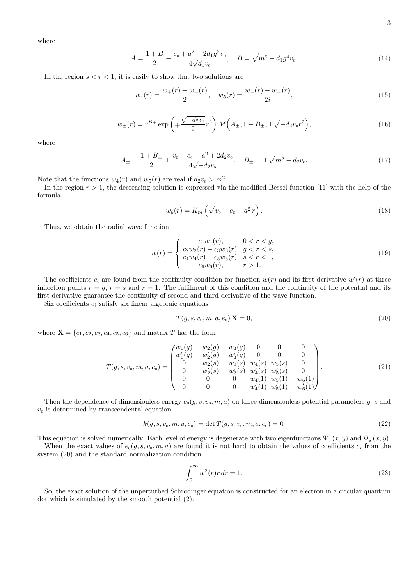where

$$
A = \frac{1+B}{2} - \frac{e_0 + a^2 + 2d_1 g^2 v_0}{4\sqrt{d_1 v_0}}, \quad B = \sqrt{m^2 + d_1 g^4 v_0}.
$$
 (14)

In the region  $s < r < 1$ , it is easily to show that two solutions are

$$
w_4(r) = \frac{w_+(r) + w_-(r)}{2}, \quad w_5(r) = \frac{w_+(r) - w_-(r)}{2i},\tag{15}
$$

$$
w_{\pm}(r) = r^{B_{\pm}} \exp\left(\mp \frac{\sqrt{-d_2 v_0}}{2} r^2\right) M\left(A_{\pm}, 1 + B_{\pm}, \pm \sqrt{-d_2 v_0} r^2\right),\tag{16}
$$

where

$$
A_{\pm} = \frac{1+B_{\pm}}{2} \pm \frac{v_0 - e_0 - a^2 + 2d_2v_0}{4\sqrt{-d_2v_0}}, \quad B_{\pm} = \pm \sqrt{m^2 - d_2v_0}.
$$
 (17)

Note that the functions  $w_4(r)$  and  $w_5(r)$  are real if  $d_2v_0 > m^2$ .

In the region  $r > 1$ , the decreasing solution is expressed via the modified Bessel function [11] with the help of the formula

$$
w_6(r) = K_m \left( \sqrt{v_0 - e_0 - a^2} \, r \right). \tag{18}
$$

Thus, we obtain the radial wave function

$$
w(r) = \begin{cases} c_1 w_1(r), & 0 < r < g, \\ c_2 w_2(r) + c_3 w_3(r), & g < r < s, \\ c_4 w_4(r) + c_5 w_5(r), & s < r < 1, \\ c_6 w_6(r), & r > 1. \end{cases} \tag{19}
$$

The coefficients  $c_i$  are found from the continuity condition for function  $w(r)$  and its first derivative  $w'(r)$  at three inflection points  $r = g$ ,  $r = s$  and  $r = 1$ . The fulfilment of this condition and the continuity of the potential and its first derivative guarantee the continuity of second and third derivative of the wave function.

Six coefficients  $c_i$  satisfy six linear algebraic equations

$$
T(g, s, v_0, m, a, e_0) \mathbf{X} = 0,
$$
\n<sup>(20)</sup>

where  $X = \{c_1, c_2, c_3, c_4, c_5, c_6\}$  and matrix *T* has the form

$$
T(g, s, v_0, m, a, e_0) = \begin{pmatrix} w_1(g) & -w_2(g) & -w_3(g) & 0 & 0 & 0 \\ w'_1(g) & -w'_2(g) & -w'_3(g) & 0 & 0 & 0 \\ 0 & -w_2(s) & -w_3(s) & w_4(s) & w_5(s) & 0 \\ 0 & -w'_2(s) & -w'_3(s) & w'_4(s) & w'_5(s) & 0 \\ 0 & 0 & 0 & w_4(1) & w_5(1) & -w_6(1) \\ 0 & 0 & 0 & w'_4(1) & w'_5(1) & -w'_6(1) \end{pmatrix}.
$$
 (21)

Then the dependence of dimensionless energy  $e_0(g, s, v_0, m, a)$  on three dimensionless potential parameters *g*, *s* and  $v<sub>0</sub>$  is determined by transcendental equation

$$
k(g, s, v_0, m, a, e_0) = \det T(g, s, v_0, m, a, e_0) = 0.
$$
\n(22)

This equation is solved numerically. Each level of energy is degenerate with two eigenfunctions  $\Psi_0^+(x,y)$  and  $\Psi_0^-(x,y)$ . When the exact values of  $e_0(q, s, v_0, m, a)$  are found it is not hard to obtain the values of coefficients  $c_i$  from the

system (20) and the standard normalization condition

$$
\int_0^\infty w^2(r)r\,dr = 1.\tag{23}
$$

So, the exact solution of the unperturbed Schrödinger equation is constructed for an electron in a circular quantum dot which is simulated by the smooth potential (2).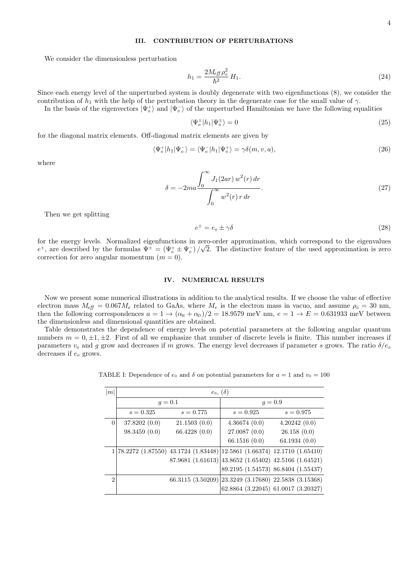## **III. CONTRIBUTION OF PERTURBATIONS**

We consider the dimensionless perturbation

$$
h_1 = \frac{2M_{\text{eff}}\rho_0^2}{\hbar^2}H_1.
$$
\n(24)

Since each energy level of the unperturbed system is doubly degenerate with two eigenfunctions (8), we consider the contribution of  $h_1$  with the help of the perturbation theory in the degenerate case for the small value of  $\gamma$ .

In the basis of the eigenvectors  $|\Psi_0^+\rangle$  and  $|\Psi_0^-\rangle$  of the unperturbed Hamiltonian we have the following equalities

$$
\langle \Psi_0^{\pm} | h_1 | \Psi_0^{\pm} \rangle = 0 \tag{25}
$$

for the diagonal matrix elements. Off-diagonal matrix elements are given by

$$
\langle \Psi_0^+ | h_1 | \Psi_0^- \rangle = \langle \Psi_0^- | h_1 | \Psi_0^+ \rangle = \gamma \delta(m, v, a), \tag{26}
$$

where

$$
\delta = -2ma \frac{\int_0^\infty J_1(2ar) \, w^2(r) \, dr}{\int_0^\infty w^2(r) \, r \, dr}.\tag{27}
$$

Then we get splitting

$$
e^{\pm} = e_0 \pm \gamma \delta \tag{28}
$$

for the energy levels. Normalized eigenfunctions in zero-order approximation, which correspond to the eigenvalues *√*  $e^{\pm}$ , are described by the formulas  $\Psi^{\pm} = (\Psi_0^+ \pm \Psi_0^-)/\sqrt{2}$ . The distinctive feature of the used approximation is zero correction for zero angular momentum  $(m = 0)$ .

### **IV. NUMERICAL RESULTS**

Now we present some numerical illustrations in addition to the analytical results. If we choose the value of effective electron mass  $M_{\text{eff}} = 0.067 M_e$  related to GaAs, where  $M_e$  is the electron mass in vacuo, and assume  $\rho_0 = 30$  nm, then the following correspondences  $a = 1 \rightarrow (\alpha_R + \alpha_D)/2 = 18.9579$  meV nm,  $e = 1 \rightarrow E = 0.631933$  meV between the dimensionless and dimensional quantities are obtained.

Table demonstrates the dependence of energy levels on potential parameters at the following angular quantum numbers  $m = 0, \pm 1, \pm 2$ . First of all we emphasize that number of discrete levels is finite. This number increases if parameters  $v_0$  and *g* grow and decreases if *m* grows. The energy level decreases if parameter *s* grows. The ratio  $\delta/e_0$ decreases if  $e_0$  grows.

TABLE I: Dependence of  $e_0$  and  $\delta$  on potential parameters for  $a = 1$  and  $v_0 = 100$ 

| m | $e_0, (\delta)$ |                                                                         |                                                          |                                     |  |  |
|---|-----------------|-------------------------------------------------------------------------|----------------------------------------------------------|-------------------------------------|--|--|
|   | $q = 0.1$       |                                                                         | $q = 0.9$                                                |                                     |  |  |
|   | $s = 0.325$     | $s = 0.775$                                                             | $s = 0.925$                                              | $s = 0.975$                         |  |  |
| 0 | 37.8202(0.0)    | 21.1503(0.0)                                                            | 4.36674(0.0)                                             | 4.20242(0.0)                        |  |  |
|   | 98.3459(0.0)    | 66.4228 (0.0)                                                           | 27.0087(0.0)                                             | 26.158(0.0)                         |  |  |
|   |                 |                                                                         | 66.1516(0.0)                                             | 64.1934(0.0)                        |  |  |
|   |                 | 78.2272 (1.87550) 43.1724 (1.83448) 12.5861 (1.66374) 12.1710 (1.65410) |                                                          |                                     |  |  |
|   |                 |                                                                         | $87.9681 (1.61613)  43.8652 (1.65402) 42.5166 (1.64521)$ |                                     |  |  |
|   |                 |                                                                         |                                                          | 89.2195 (1.54573) 86.8404 (1.55437) |  |  |
| 2 |                 |                                                                         | 66.3115 (3.50209) 23.3249 (3.17680) 22.5838 (3.15368)    |                                     |  |  |
|   |                 |                                                                         |                                                          | 62.8864 (3.22045) 61.0017 (3.20327) |  |  |